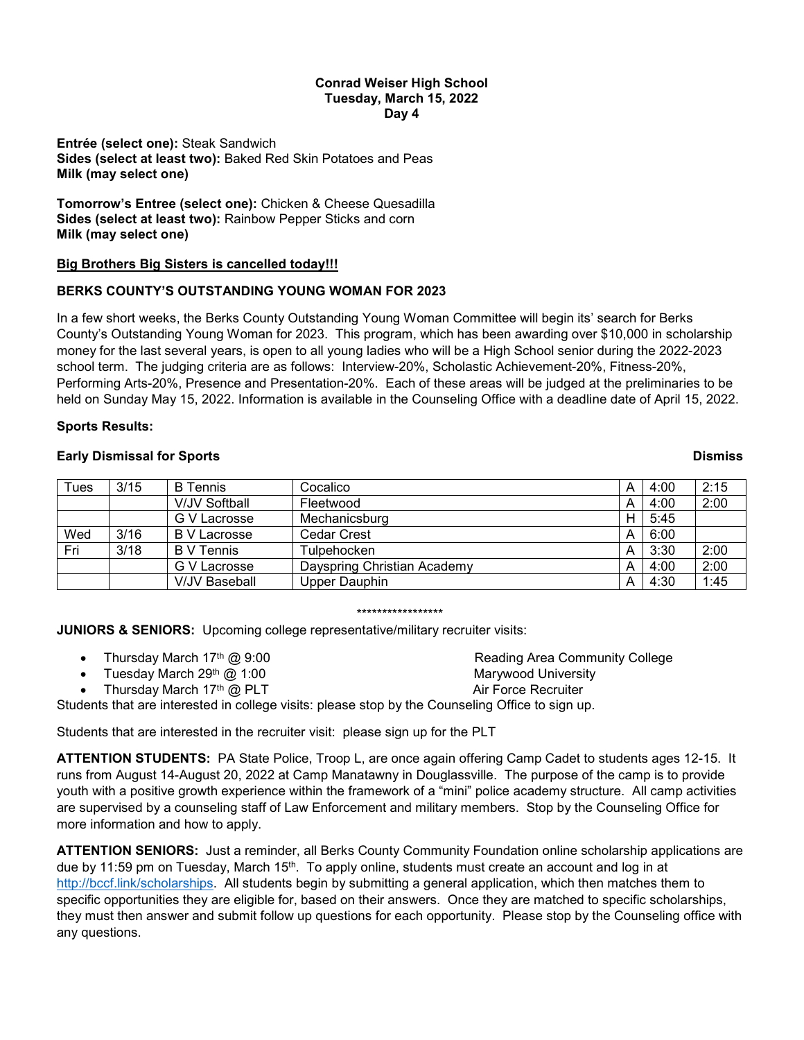## **Conrad Weiser High School Tuesday, March 15, 2022 Day 4**

**Entrée (select one):** Steak Sandwich **Sides (select at least two):** Baked Red Skin Potatoes and Peas **Milk (may select one)**

**Tomorrow's Entree (select one):** Chicken & Cheese Quesadilla **Sides (select at least two):** Rainbow Pepper Sticks and corn **Milk (may select one)**

# **Big Brothers Big Sisters is cancelled today!!!**

## **BERKS COUNTY'S OUTSTANDING YOUNG WOMAN FOR 2023**

In a few short weeks, the Berks County Outstanding Young Woman Committee will begin its' search for Berks County's Outstanding Young Woman for 2023. This program, which has been awarding over \$10,000 in scholarship money for the last several years, is open to all young ladies who will be a High School senior during the 2022-2023 school term. The judging criteria are as follows: Interview-20%, Scholastic Achievement-20%, Fitness-20%, Performing Arts-20%, Presence and Presentation-20%. Each of these areas will be judged at the preliminaries to be held on Sunday May 15, 2022. Information is available in the Counseling Office with a deadline date of April 15, 2022.

### **Sports Results:**

## **Early Dismissal for Sports Dismiss**

| Tues | 3/15 | <b>B</b> Tennis      | Cocalico                    | Α | 4:00 | 2:15 |
|------|------|----------------------|-----------------------------|---|------|------|
|      |      | <b>V/JV Softball</b> | Fleetwood                   | A | 4:00 | 2:00 |
|      |      | G V Lacrosse         | Mechanicsburg               | Н | 5:45 |      |
| Wed  | 3/16 | B V Lacrosse         | Cedar Crest                 | A | 6:00 |      |
| Fri  | 3/18 | <b>B</b> V Tennis    | Tulpehocken                 | A | 3:30 | 2:00 |
|      |      | G V Lacrosse         | Dayspring Christian Academy | А | 4:00 | 2:00 |
|      |      | V/JV Baseball        | Upper Dauphin               | А | 4:30 | 1:45 |

#### \*\*\*\*\*\*\*\*\*\*\*\*\*\*\*\*\*

**JUNIORS & SENIORS:** Upcoming college representative/military recruiter visits:

- Thursday March 17<sup>th</sup> @ 9:00 **Reading Area Community College**
- Tuesday March 29<sup>th</sup> @ 1:00 Marywood University Marywood University
- Thursday March 17<sup>th</sup> @ PLT Air Force Recruiter

Students that are interested in college visits: please stop by the Counseling Office to sign up.

Students that are interested in the recruiter visit: please sign up for the PLT

**ATTENTION STUDENTS:** PA State Police, Troop L, are once again offering Camp Cadet to students ages 12-15. It runs from August 14-August 20, 2022 at Camp Manatawny in Douglassville. The purpose of the camp is to provide youth with a positive growth experience within the framework of a "mini" police academy structure. All camp activities are supervised by a counseling staff of Law Enforcement and military members. Stop by the Counseling Office for more information and how to apply.

**ATTENTION SENIORS:** Just a reminder, all Berks County Community Foundation online scholarship applications are due by 11:59 pm on Tuesday, March 15<sup>th</sup>. To apply online, students must create an account and log in at [http://bccf.link/scholarships.](http://bccf.link/scholarships) All students begin by submitting a general application, which then matches them to specific opportunities they are eligible for, based on their answers. Once they are matched to specific scholarships, they must then answer and submit follow up questions for each opportunity. Please stop by the Counseling office with any questions.